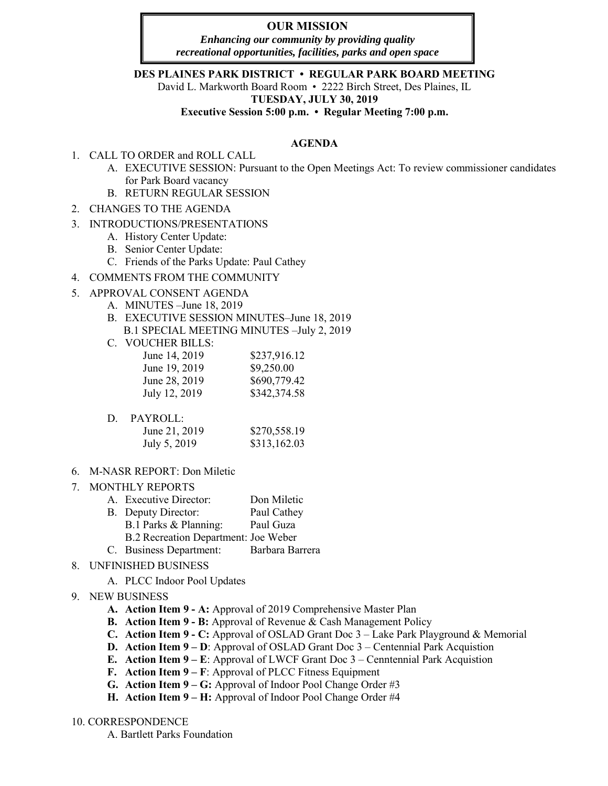# **OUR MISSION**

*Enhancing our community by providing quality recreational opportunities, facilities, parks and open space*

### **DES PLAINES PARK DISTRICT • REGULAR PARK BOARD MEETING**

David L. Markworth Board Room • 2222 Birch Street, Des Plaines, IL

**TUESDAY, JULY 30, 2019** 

**Executive Session 5:00 p.m. • Regular Meeting 7:00 p.m.** 

### **AGENDA**

- 1. CALL TO ORDER and ROLL CALL
	- A. EXECUTIVE SESSION: Pursuant to the Open Meetings Act: To review commissioner candidates for Park Board vacancy
	- B. RETURN REGULAR SESSION
- 2. CHANGES TO THE AGENDA
- 3. INTRODUCTIONS/PRESENTATIONS
	- A. History Center Update:
	- B. Senior Center Update:
	- C. Friends of the Parks Update: Paul Cathey

## 4. COMMENTS FROM THE COMMUNITY

- 5. APPROVAL CONSENT AGENDA
	- A. MINUTES –June 18, 2019
	- B. EXECUTIVE SESSION MINUTES–June 18, 2019 B.1 SPECIAL MEETING MINUTES –July 2, 2019
	- C. VOUCHER BILLS:

| June 14, 2019 | \$237,916.12 |
|---------------|--------------|
| June 19, 2019 | \$9,250.00   |
| June 28, 2019 | \$690,779.42 |
| July 12, 2019 | \$342,374.58 |

## D. PAYROLL:

| June 21, 2019 | \$270,558.19 |
|---------------|--------------|
| July 5, 2019  | \$313,162.03 |
|               |              |

6. M-NASR REPORT: Don Miletic

### 7. MONTHLY REPORTS

- A. Executive Director: Don Miletic
- B. Deputy Director: Paul Cathey
- B.1 Parks & Planning: Paul Guza
- B.2 Recreation Department: Joe Weber
- C. Business Department: Barbara Barrera
- 8. UNFINISHED BUSINESS
	- A. PLCC Indoor Pool Updates
- 9. NEW BUSINESS
	- **A. Action Item 9 A:** Approval of 2019 Comprehensive Master Plan
	- **B. Action Item 9 B:** Approval of Revenue & Cash Management Policy
	- **C. Action Item 9 C:** Approval of OSLAD Grant Doc 3 Lake Park Playground & Memorial
	- **D. Action Item 9 – D**: Approval of OSLAD Grant Doc 3 Centennial Park Acquistion
	- **E. Action Item 9 – E**: Approval of LWCF Grant Doc 3 Cenntennial Park Acquistion
	- **F. Action Item 9 – F**: Approval of PLCC Fitness Equipment
	- **G. Action Item 9 – G:** Approval of Indoor Pool Change Order #3
	- **H. Action Item 9 – H:** Approval of Indoor Pool Change Order #4

### 10. CORRESPONDENCE

A. Bartlett Parks Foundation